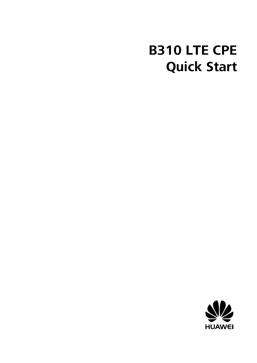### **B310 LTE CPE Quick Start**

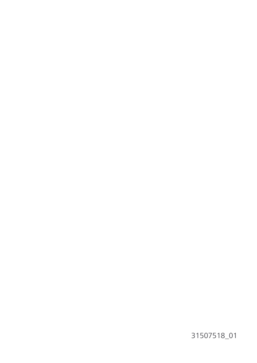31507518\_01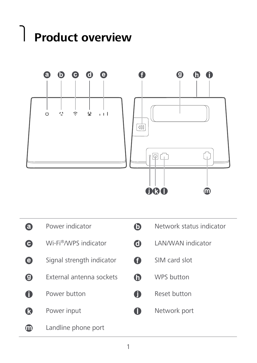## 1 **Product overview**



| Power indicator           | O)          | Network status indicator |
|---------------------------|-------------|--------------------------|
| Wi-Fi®/WPS indicator      | $\mathbf G$ | I AN/WAN indicator       |
| Signal strength indicator | O           | SIM card slot            |
| External antenna sockets  | G           | WPS button               |
| Power button              | $\bullet$   | Reset button             |
| Power input               |             | Network port             |
| Landline phone port       |             |                          |
|                           |             |                          |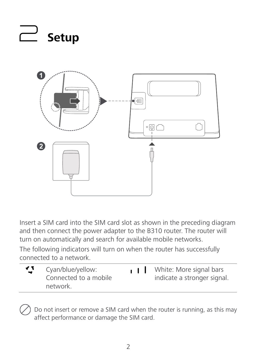

Insert a SIM card into the SIM card slot as shown in the preceding diagram and then connect the power adapter to the B310 router. The router will turn on automatically and search for available mobile networks.

The following indicators will turn on when the router has successfully connected to a network.

| グ | Cyan/blue/yellow:<br>Connected to a mobile<br>network. | 11 | White: More signal bars<br>indicate a stronger signal. |
|---|--------------------------------------------------------|----|--------------------------------------------------------|
|   |                                                        |    |                                                        |

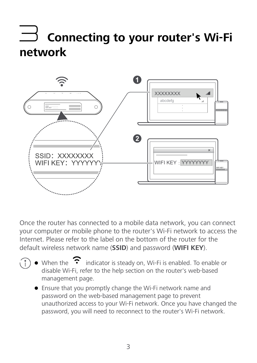### 3 **Connecting to your router's Wi-Fi network**



Once the router has connected to a mobile data network, you can connect your computer or mobile phone to the router's Wi-Fi network to access the Internet. Please refer to the label on the bottom of the router for the default wireless network name (**SSID**) and password (**WIFI KEY**).

- $\bullet$  When the  $\bullet$  indicator is steady on, Wi-Fi is enabled. To enable or disable Wi-Fi, refer to the help section on the router's web-based management page.
	- Ensure that you promptly change the Wi-Fi network name and password on the web-based management page to prevent unauthorized access to your Wi-Fi network. Once you have changed the password, you will need to reconnect to the router's Wi-Fi network.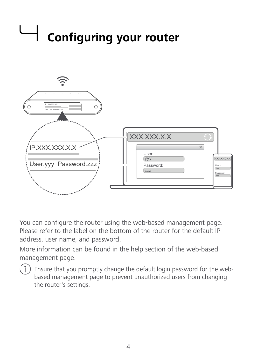# 4 **Configuring your router**



You can configure the router using the web-based management page. Please refer to the label on the bottom of the router for the default IP address, user name, and password.

More information can be found in the help section of the web-based management page.



 $\binom{1}{1}$  Ensure that you promptly change the default login password for the webbased management page to prevent unauthorized users from changing the router's settings.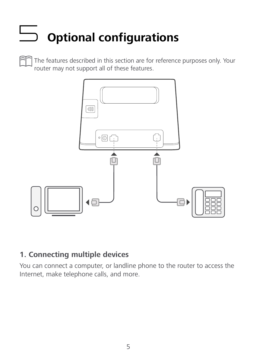### 5 **Optional configurations**

The features described in this section are for reference purposes only. Your router may not support all of these features.



#### **1. Connecting multiple devices**

You can connect a computer, or landline phone to the router to access the Internet, make telephone calls, and more.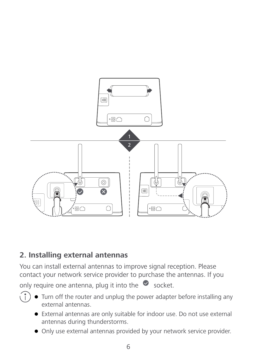

#### **2. Installing external antennas**

Œ

You can install external antennas to improve signal reception. Please contact your network service provider to purchase the antennas. If you

only require one antenna, plug it into the  $\bullet$  socket.

- Turn off the router and unplug the power adapter before installing any external antennas.
	- External antennas are only suitable for indoor use. Do not use external antennas during thunderstorms.
	- Only use external antennas provided by your network service provider.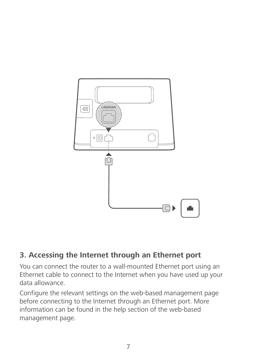

#### **3. Accessing the Internet through an Ethernet port**

You can connect the router to a wall-mounted Ethernet port using an Ethernet cable to connect to the Internet when you have used up your data allowance.

Configure the relevant settings on the web-based management page before connecting to the Internet through an Ethernet port. More information can be found in the help section of the web-based management page.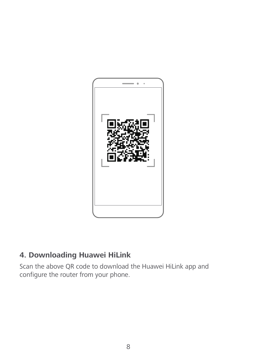

#### **4. Downloading Huawei HiLink**

Scan the above QR code to download the Huawei HiLink app and configure the router from your phone.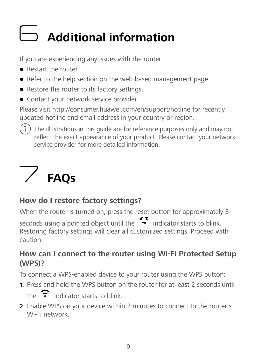### 6 **Additional information**

If you are experiencing any issues with the router:

- Restart the router
- Refer to the help section on the web-based management page.
- Restore the router to its factory settings.
- **Contact your network service provider.**

Please visit http://consumer.huawei.com/en/support/hotline for recently updated hotline and email address in your country or region.

 $\binom{1}{1}$  The illustrations in this guide are for reference purposes only and may not reflect the exact appearance of your product. Please contact your network service provider for more detailed information.

### 7 **FAQs**

#### **How do I restore factory settings?**

When the router is turned on, press the reset button for approximately 3 seconds using a pointed object until the  $\bullet$  indicator starts to blink. Restoring factory settings will clear all customized settings. Proceed with caution.

#### **How can I connect to the router using Wi-Fi Protected Setup (WPS)?**

To connect a WPS-enabled device to your router using the WPS button:

**1.** Press and hold the WPS button on the router for at least 2 seconds until

the  $\widehat{\cdot}$  indicator starts to blink.

**2.** Enable WPS on your device within 2 minutes to connect to the router's Wi-Fi network.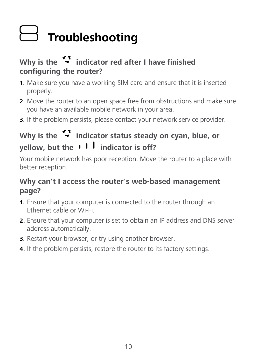### 8 **Troubleshooting**

#### Why is the **indicator red after I have finished configuring the router?**

- **1.** Make sure you have a working SIM card and ensure that it is inserted properly.
- **2.** Move the router to an open space free from obstructions and make sure you have an available mobile network in your area.
- **3.** If the problem persists, please contact your network service provider.

#### Why is the <sup>1</sup> indicator status steady on cyan, blue, or **yellow, but the ill indicator is off?**

Your mobile network has poor reception. Move the router to a place with better reception.

#### **Why can't I access the router's web-based management page?**

- **1.** Ensure that your computer is connected to the router through an Ethernet cable or Wi-Fi.
- **2.** Ensure that your computer is set to obtain an IP address and DNS server address automatically.
- **3.** Restart your browser, or try using another browser.
- **4.** If the problem persists, restore the router to its factory settings.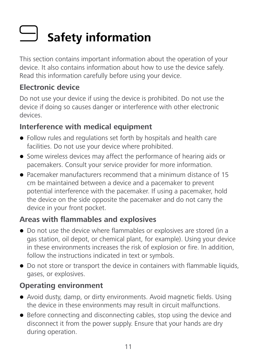### 9 **Safety information**

This section contains important information about the operation of your device. It also contains information about how to use the device safely. Read this information carefully before using your device.

#### **Electronic device**

Do not use your device if using the device is prohibited. Do not use the device if doing so causes danger or interference with other electronic devices.

#### **Interference with medical equipment**

- Follow rules and regulations set forth by hospitals and health care facilities. Do not use your device where prohibited.
- Some wireless devices may affect the performance of hearing aids or pacemakers. Consult your service provider for more information.
- Pacemaker manufacturers recommend that a minimum distance of 15 cm be maintained between a device and a pacemaker to prevent potential interference with the pacemaker. If using a pacemaker, hold the device on the side opposite the pacemaker and do not carry the device in your front pocket.

#### **Areas with flammables and explosives**

- Do not use the device where flammables or explosives are stored (in a gas station, oil depot, or chemical plant, for example). Using your device in these environments increases the risk of explosion or fire. In addition, follow the instructions indicated in text or symbols.
- Do not store or transport the device in containers with flammable liquids, gases, or explosives.

#### **Operating environment**

- Avoid dusty, damp, or dirty environments. Avoid magnetic fields. Using the device in these environments may result in circuit malfunctions.
- Before connecting and disconnecting cables, stop using the device and disconnect it from the power supply. Ensure that your hands are dry during operation.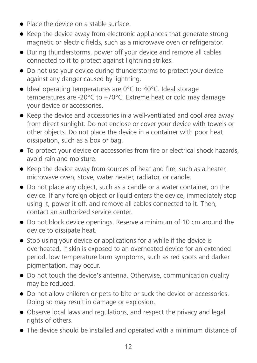- **Place the device on a stable surface.**
- Keep the device away from electronic appliances that generate strong magnetic or electric fields, such as a microwave oven or refrigerator.
- During thunderstorms, power off your device and remove all cables connected to it to protect against lightning strikes.
- Do not use your device during thunderstorms to protect your device against any danger caused by lightning.
- Ideal operating temperatures are 0°C to 40°C. Ideal storage temperatures are -20°C to +70°C. Extreme heat or cold may damage your device or accessories.
- Keep the device and accessories in a well-ventilated and cool area away from direct sunlight. Do not enclose or cover your device with towels or other objects. Do not place the device in a container with poor heat dissipation, such as a box or bag.
- To protect your device or accessories from fire or electrical shock hazards, avoid rain and moisture.
- Keep the device away from sources of heat and fire, such as a heater, microwave oven, stove, water heater, radiator, or candle.
- Do not place any object, such as a candle or a water container, on the device. If any foreign object or liquid enters the device, immediately stop using it, power it off, and remove all cables connected to it. Then, contact an authorized service center.
- Do not block device openings. Reserve a minimum of 10 cm around the device to dissipate heat.
- Stop using your device or applications for a while if the device is overheated. If skin is exposed to an overheated device for an extended period, low temperature burn symptoms, such as red spots and darker pigmentation, may occur.
- Do not touch the device's antenna. Otherwise, communication quality may be reduced.
- Do not allow children or pets to bite or suck the device or accessories. Doing so may result in damage or explosion.
- Observe local laws and regulations, and respect the privacy and legal rights of others.
- The device should be installed and operated with a minimum distance of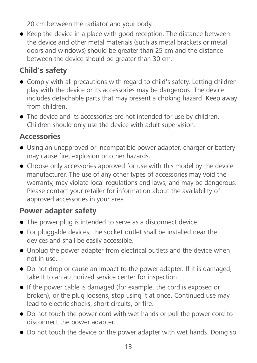20 cm between the radiator and your body.

• Keep the device in a place with good reception. The distance between the device and other metal materials (such as metal brackets or metal doors and windows) should be greater than 25 cm and the distance between the device should be greater than 30 cm.

#### **Child's safety**

- Comply with all precautions with regard to child's safety. Letting children play with the device or its accessories may be dangerous. The device includes detachable parts that may present a choking hazard. Keep away from children.
- The device and its accessories are not intended for use by children. Children should only use the device with adult supervision.

#### **Accessories**

- Using an unapproved or incompatible power adapter, charger or battery may cause fire, explosion or other hazards.
- Choose only accessories approved for use with this model by the device manufacturer. The use of any other types of accessories may void the warranty, may violate local regulations and laws, and may be dangerous. Please contact your retailer for information about the availability of approved accessories in your area.

#### **Power adapter safety**

- The power plug is intended to serve as a disconnect device.
- For pluggable devices, the socket-outlet shall be installed near the devices and shall be easily accessible.
- Unplug the power adapter from electrical outlets and the device when not in use.
- Do not drop or cause an impact to the power adapter. If it is damaged, take it to an authorized service center for inspection.
- If the power cable is damaged (for example, the cord is exposed or broken), or the plug loosens, stop using it at once. Continued use may lead to electric shocks, short circuits, or fire.
- Do not touch the power cord with wet hands or pull the power cord to disconnect the power adapter.
- Do not touch the device or the power adapter with wet hands. Doing so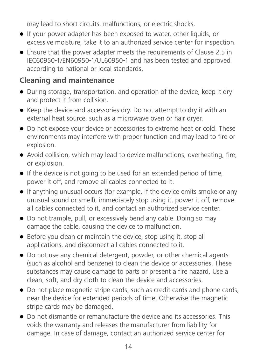may lead to short circuits, malfunctions, or electric shocks.

- If your power adapter has been exposed to water, other liquids, or excessive moisture, take it to an authorized service center for inspection.
- Ensure that the power adapter meets the requirements of Clause 2.5 in IEC60950-1/EN60950-1/UL60950-1 and has been tested and approved according to national or local standards.

#### **Cleaning and maintenance**

- During storage, transportation, and operation of the device, keep it dry and protect it from collision.
- Keep the device and accessories dry. Do not attempt to dry it with an external heat source, such as a microwave oven or hair dryer.
- Do not expose your device or accessories to extreme heat or cold. These environments may interfere with proper function and may lead to fire or explosion.
- Avoid collision, which may lead to device malfunctions, overheating, fire, or explosion.
- If the device is not going to be used for an extended period of time, power it off, and remove all cables connected to it.
- If anything unusual occurs (for example, if the device emits smoke or any unusual sound or smell), immediately stop using it, power it off, remove all cables connected to it, and contact an authorized service center.
- Do not trample, pull, or excessively bend any cable. Doing so may damage the cable, causing the device to malfunction.
- Before you clean or maintain the device, stop using it, stop all applications, and disconnect all cables connected to it.
- Do not use any chemical detergent, powder, or other chemical agents (such as alcohol and benzene) to clean the device or accessories. These substances may cause damage to parts or present a fire hazard. Use a clean, soft, and dry cloth to clean the device and accessories.
- Do not place magnetic stripe cards, such as credit cards and phone cards, near the device for extended periods of time. Otherwise the magnetic stripe cards may be damaged.
- Do not dismantle or remanufacture the device and its accessories. This voids the warranty and releases the manufacturer from liability for damage. In case of damage, contact an authorized service center for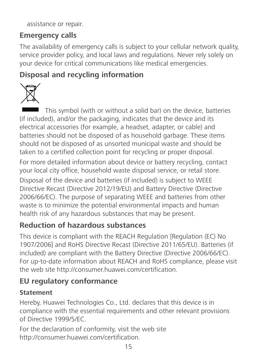assistance or repair.

#### **Emergency calls**

The availability of emergency calls is subject to your cellular network quality, service provider policy, and local laws and regulations. Never rely solely on your device for critical communications like medical emergencies.

#### **Disposal and recycling information**



This symbol (with or without a solid bar) on the device, batteries (if included), and/or the packaging, indicates that the device and its electrical accessories (for example, a headset, adapter, or cable) and batteries should not be disposed of as household garbage. These items should not be disposed of as unsorted municipal waste and should be taken to a certified collection point for recycling or proper disposal.

For more detailed information about device or battery recycling, contact your local city office, household waste disposal service, or retail store.

Disposal of the device and batteries (if included) is subject to WEEE Directive Recast (Directive 2012/19/EU) and Battery Directive (Directive 2006/66/EC). The purpose of separating WEEE and batteries from other waste is to minimize the potential environmental impacts and human health risk of any hazardous substances that may be present.

#### **Reduction of hazardous substances**

This device is compliant with the REACH Regulation [Regulation (EC) No 1907/2006] and RoHS Directive Recast (Directive 2011/65/EU). Batteries (if included) are compliant with the Battery Directive (Directive 2006/66/EC). For up-to-date information about REACH and RoHS compliance, please visit the web site http://consumer.huawei.com/certification.

#### **EU regulatory conformance**

#### **Statement**

Hereby, Huawei Technologies Co., Ltd. declares that this device is in compliance with the essential requirements and other relevant provisions of Directive 1999/5/EC.

For the declaration of conformity, visit the web site http://consumer.huawei.com/certification.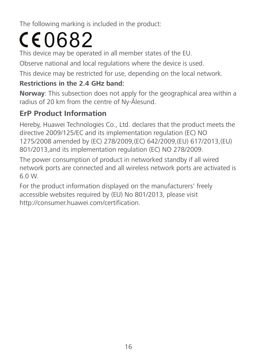The following marking is included in the product:

### $CE0682$

This device may be operated in all member states of the EU.

Observe national and local regulations where the device is used.

This device may be restricted for use, depending on the local network.

#### **Restrictions in the 2.4 GHz band:**

**Norway**: This subsection does not apply for the geographical area within a radius of 20 km from the centre of Ny-Ålesund.

#### **ErP Product Information**

Hereby, Huawei Technologies Co., Ltd. declares that the product meets the directive 2009/125/EC and its implementation regulation (EC) NO 1275/2008 amended by (EC) 278/2009,(EC) 642/2009,(EU) 617/2013,(EU) 801/2013,and its implementation regulation (EC) NO 278/2009.

The power consumption of product in networked standby if all wired network ports are connected and all wireless network ports are activated is 6.0 W.

For the product information displayed on the manufacturers' freely accessible websites required by (EU) No 801/2013, please visit http://consumer.huawei.com/certification.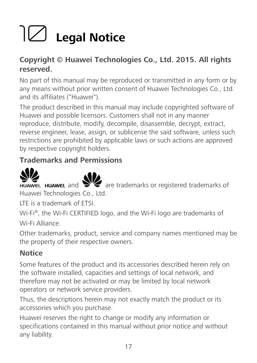## 10 **Legal Notice**

#### **Copyright © Huawei Technologies Co., Ltd. 2015. All rights reserved.**

No part of this manual may be reproduced or transmitted in any form or by any means without prior written consent of Huawei Technologies Co., Ltd. and its affiliates ("Huawei").

The product described in this manual may include copyrighted software of Huawei and possible licensors. Customers shall not in any manner reproduce, distribute, modify, decompile, disassemble, decrypt, extract, reverse engineer, lease, assign, or sublicense the said software, unless such restrictions are prohibited by applicable laws or such actions are approved by respective copyright holders.

#### **Trademarks and Permissions**





 $\sum_{n=1}^{\infty}$  ,  $\sum_{n=1}^{\infty}$  are trademarks or registered trademarks of Huawei Technologies Co., Ltd.

LTE is a trademark of ETSI.

Wi-Fi®, the Wi-Fi CERTIFIED logo, and the Wi-Fi logo are trademarks of Wi-Fi Alliance.

Other trademarks, product, service and company names mentioned may be the property of their respective owners.

#### **Notice**

Some features of the product and its accessories described herein rely on the software installed, capacities and settings of local network, and therefore may not be activated or may be limited by local network operators or network service providers.

Thus, the descriptions herein may not exactly match the product or its accessories which you purchase.

Huawei reserves the right to change or modify any information or specifications contained in this manual without prior notice and without any liability.